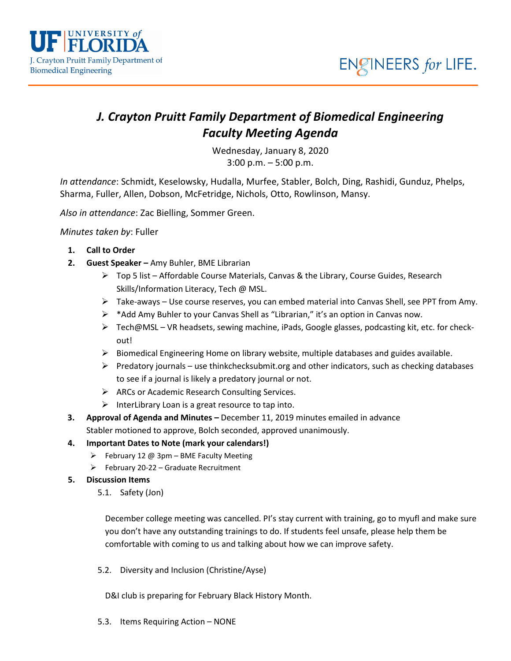

# *J. Crayton Pruitt Family Department of Biomedical Engineering Faculty Meeting Agenda*

Wednesday, January 8, 2020 3:00 p.m. – 5:00 p.m.

*In attendance*: Schmidt, Keselowsky, Hudalla, Murfee, Stabler, Bolch, Ding, Rashidi, Gunduz, Phelps, Sharma, Fuller, Allen, Dobson, McFetridge, Nichols, Otto, Rowlinson, Mansy.

*Also in attendance*: Zac Bielling, Sommer Green.

*Minutes taken by*: Fuller

UNIVERSITY of

J. Crayton Pruitt Family Department of

**Biomedical Engineering** 

- **1. Call to Order**
- **2. Guest Speaker –** Amy Buhler, BME Librarian
	- $\triangleright$  Top 5 list Affordable Course Materials, Canvas & the Library, Course Guides, Research Skills/Information Literacy, Tech @ MSL.
	- $\triangleright$  Take-aways Use course reserves, you can embed material into Canvas Shell, see PPT from Amy.
	- ▶ \*Add Amy Buhler to your Canvas Shell as "Librarian," it's an option in Canvas now.
	- $\triangleright$  Tech@MSL VR headsets, sewing machine, iPads, Google glasses, podcasting kit, etc. for checkout!
	- $\triangleright$  Biomedical Engineering Home on library website, multiple databases and guides available.
	- $\triangleright$  Predatory journals use thinkchecksubmit.org and other indicators, such as checking databases to see if a journal is likely a predatory journal or not.
	- ARCs or Academic Research Consulting Services.
	- $\triangleright$  InterLibrary Loan is a great resource to tap into.
- **3. Approval of Agenda and Minutes –** December 11, 2019 minutes emailed in advance Stabler motioned to approve, Bolch seconded, approved unanimously.
- **4. Important Dates to Note (mark your calendars!)**
	- $\triangleright$  February 12 @ 3pm BME Faculty Meeting
	- $\triangleright$  February 20-22 Graduate Recruitment

### **5. Discussion Items**

5.1. Safety (Jon)

December college meeting was cancelled. PI's stay current with training, go to myufl and make sure you don't have any outstanding trainings to do. If students feel unsafe, please help them be comfortable with coming to us and talking about how we can improve safety.

5.2. Diversity and Inclusion (Christine/Ayse)

D&I club is preparing for February Black History Month.

5.3. Items Requiring Action – NONE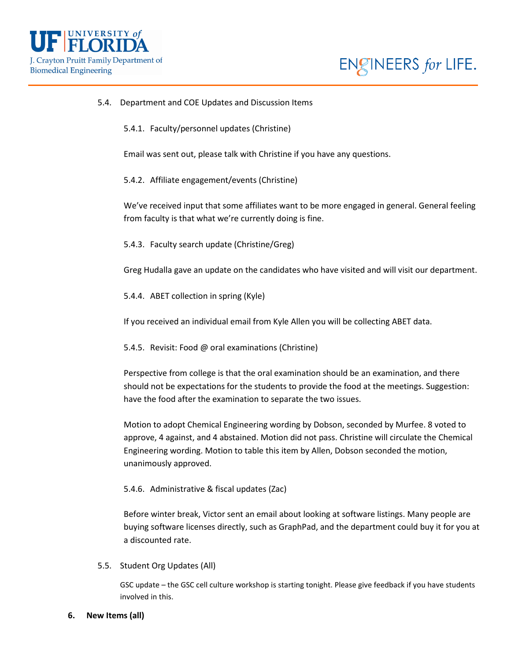



#### 5.4. Department and COE Updates and Discussion Items

5.4.1. Faculty/personnel updates (Christine)

Email was sent out, please talk with Christine if you have any questions.

5.4.2. Affiliate engagement/events (Christine)

We've received input that some affiliates want to be more engaged in general. General feeling from faculty is that what we're currently doing is fine.

5.4.3. Faculty search update (Christine/Greg)

Greg Hudalla gave an update on the candidates who have visited and will visit our department.

5.4.4. ABET collection in spring (Kyle)

If you received an individual email from Kyle Allen you will be collecting ABET data.

5.4.5. Revisit: Food @ oral examinations (Christine)

Perspective from college is that the oral examination should be an examination, and there should not be expectations for the students to provide the food at the meetings. Suggestion: have the food after the examination to separate the two issues.

Motion to adopt Chemical Engineering wording by Dobson, seconded by Murfee. 8 voted to approve, 4 against, and 4 abstained. Motion did not pass. Christine will circulate the Chemical Engineering wording. Motion to table this item by Allen, Dobson seconded the motion, unanimously approved.

#### 5.4.6. Administrative & fiscal updates (Zac)

Before winter break, Victor sent an email about looking at software listings. Many people are buying software licenses directly, such as GraphPad, and the department could buy it for you at a discounted rate.

5.5. Student Org Updates (All)

GSC update – the GSC cell culture workshop is starting tonight. Please give feedback if you have students involved in this.

**6. New Items (all)**